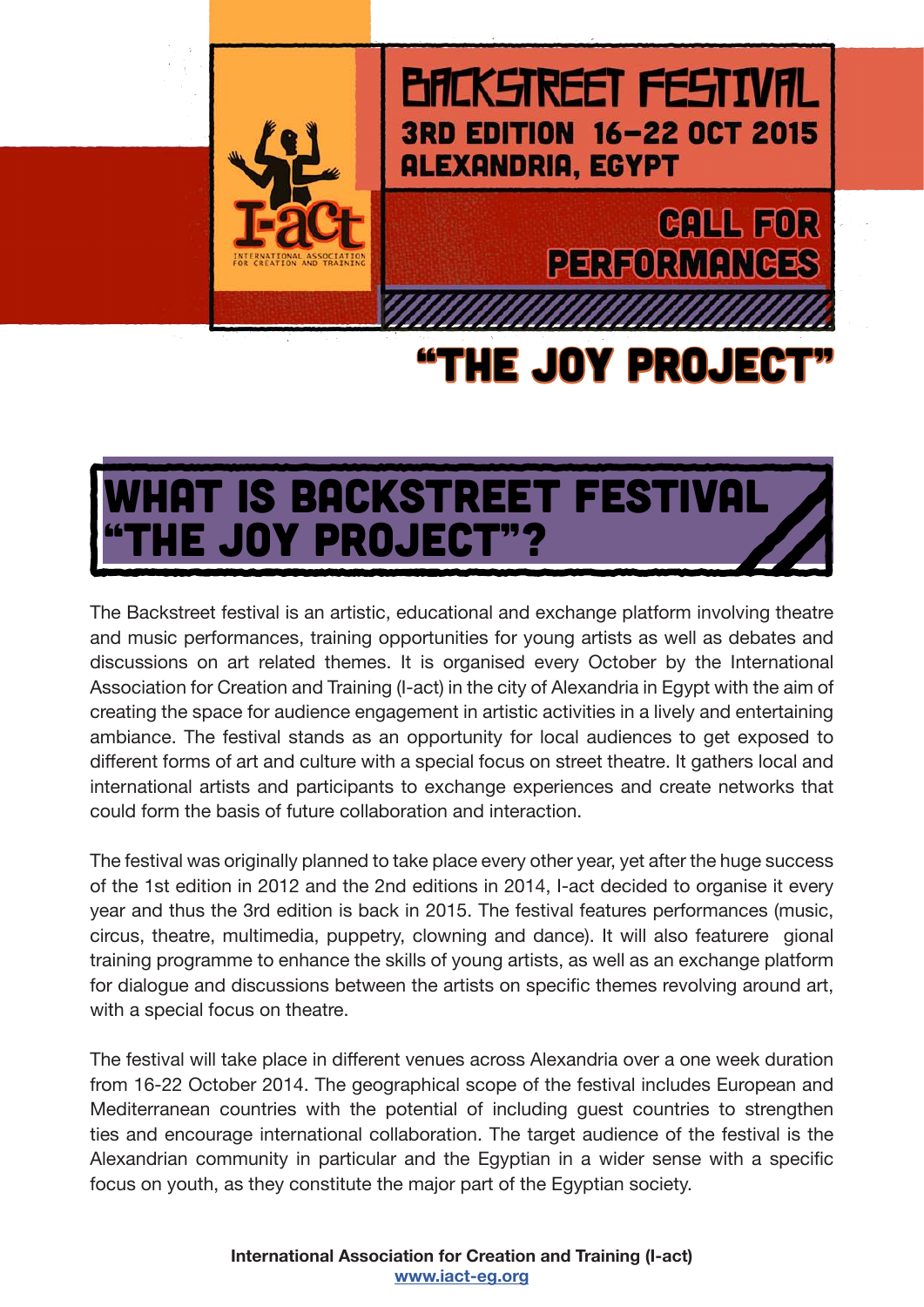

#### **BACKSTREET FESTIVAL** 3RD EDITION 16-22 OCT 2015 **ALEXANDRIA, EGYPT**

### **CALL FOR PERFORMANCES**

## "THE JOY PROJECT"

### HAT IS BACKSTREET FESTIVAL E JOY PROJECT"?

The Backstreet festival is an artistic, educational and exchange platform involving theatre and music performances, training opportunities for young artists as well as debates and discussions on art related themes. It is organised every October by the International Association for Creation and Training (I-act) in the city of Alexandria in Egypt with the aim of creating the space for audience engagement in artistic activities in a lively and entertaining ambiance. The festival stands as an opportunity for local audiences to get exposed to different forms of art and culture with a special focus on street theatre. It gathers local and international artists and participants to exchange experiences and create networks that could form the basis of future collaboration and interaction.

The festival was originally planned to take place every other year, yet after the huge success of the 1st edition in 2012 and the 2nd editions in 2014, I-act decided to organise it every year and thus the 3rd edition is back in 2015. The festival features performances (music, circus, theatre, multimedia, puppetry, clowning and dance). It will also featurere gional training programme to enhance the skills of young artists, as well as an exchange platform for dialogue and discussions between the artists on specific themes revolving around art, with a special focus on theatre.

The festival will take place in different venues across Alexandria over a one week duration from 16-22 October 2014. The geographical scope of the festival includes European and Mediterranean countries with the potential of including guest countries to strengthen ties and encourage international collaboration. The target audience of the festival is the Alexandrian community in particular and the Egyptian in a wider sense with a specific focus on youth, as they constitute the major part of the Egyptian society.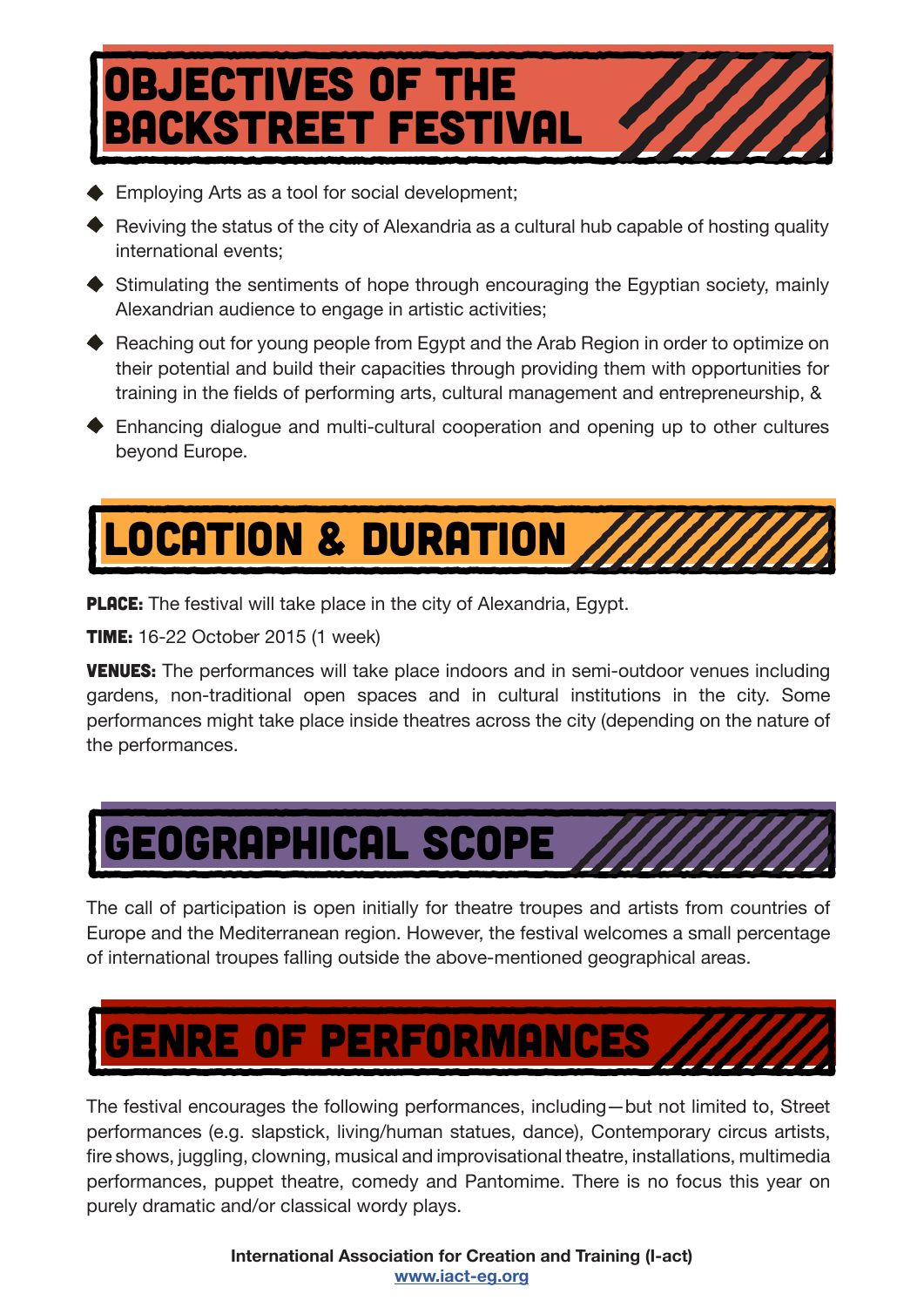## OBJECTIVES OF THE **ACKSTREET FESTIVAL**

- ◆ Employing Arts as a tool for social development;
- $\blacklozenge$  Reviving the status of the city of Alexandria as a cultural hub capable of hosting quality international events;
- ◆ Stimulating the sentiments of hope through encouraging the Egyptian society, mainly Alexandrian audience to engage in artistic activities;
- ◆ Reaching out for young people from Egypt and the Arab Region in order to optimize on their potential and build their capacities through providing them with opportunities for training in the fields of performing arts, cultural management and entrepreneurship, &
- Enhancing dialogue and multi-cultural cooperation and opening up to other cultures beyond Europe.

# location & duration

**PLACE:** The festival will take place in the city of Alexandria, Egypt.

**TIME:** 16-22 October 2015 (1 week)

**VENUES:** The performances will take place indoors and in semi-outdoor venues including gardens, non-traditional open spaces and in cultural institutions in the city. Some performances might take place inside theatres across the city (depending on the nature of the performances.



The call of participation is open initially for theatre troupes and artists from countries of Europe and the Mediterranean region. However, the festival welcomes a small percentage of international troupes falling outside the above-mentioned geographical areas.



The festival encourages the following performances, including—but not limited to, Street performances (e.g. slapstick, living/human statues, dance), Contemporary circus artists, fire shows, juggling, clowning, musical and improvisational theatre, installations, multimedia performances, puppet theatre, comedy and Pantomime. There is no focus this year on purely dramatic and/or classical wordy plays.

> **International Association for Creation and Training (I-act) www.iact-eg.org**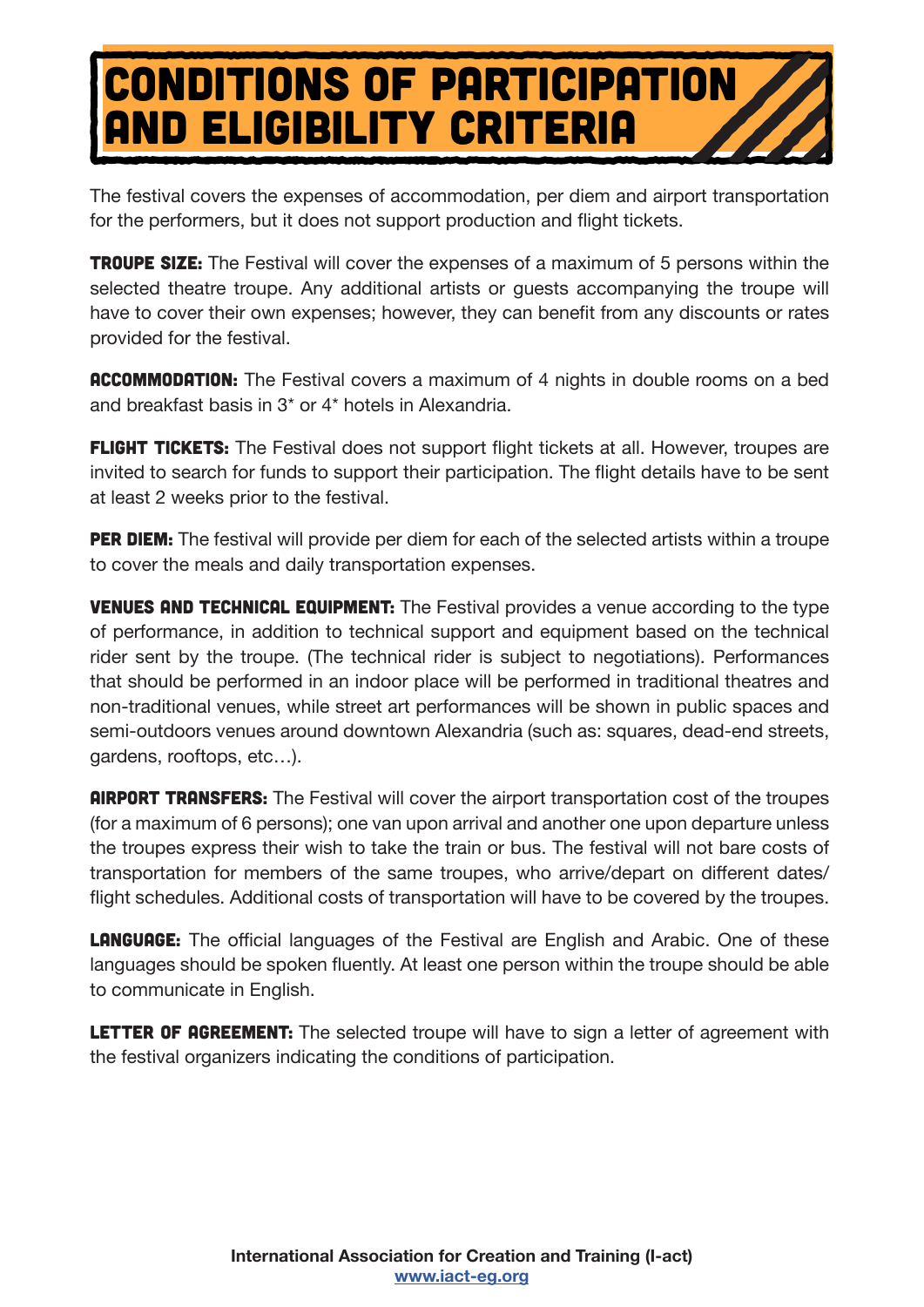## Conditions of participation and eligibility criteria

The festival covers the expenses of accommodation, per diem and airport transportation for the performers, but it does not support production and flight tickets.

**TROUPE SIZE:** The Festival will cover the expenses of a maximum of 5 persons within the selected theatre troupe. Any additional artists or guests accompanying the troupe will have to cover their own expenses; however, they can benefit from any discounts or rates provided for the festival.

**ACCOMMODATION:** The Festival covers a maximum of 4 nights in double rooms on a bed and breakfast basis in 3\* or 4\* hotels in Alexandria.

**FLIGHT TICKETS:** The Festival does not support flight tickets at all. However, troupes are invited to search for funds to support their participation. The flight details have to be sent at least 2 weeks prior to the festival.

**PER DIEM:** The festival will provide per diem for each of the selected artists within a troupe to cover the meals and daily transportation expenses.

**VENUES AND TECHNICAL EQUIPMENT:** The Festival provides a venue according to the type of performance, in addition to technical support and equipment based on the technical rider sent by the troupe. (The technical rider is subject to negotiations). Performances that should be performed in an indoor place will be performed in traditional theatres and non-traditional venues, while street art performances will be shown in public spaces and semi-outdoors venues around downtown Alexandria (such as: squares, dead-end streets, gardens, rooftops, etc…).

**AIRPORT TRANSFERS:** The Festival will cover the airport transportation cost of the troupes (for a maximum of 6 persons); one van upon arrival and another one upon departure unless the troupes express their wish to take the train or bus. The festival will not bare costs of transportation for members of the same troupes, who arrive/depart on different dates/ flight schedules. Additional costs of transportation will have to be covered by the troupes.

**LANGUAGE:** The official languages of the Festival are English and Arabic. One of these languages should be spoken fluently. At least one person within the troupe should be able to communicate in English.

**LETTER OF AGREEMENT:** The selected troupe will have to sign a letter of agreement with the festival organizers indicating the conditions of participation.